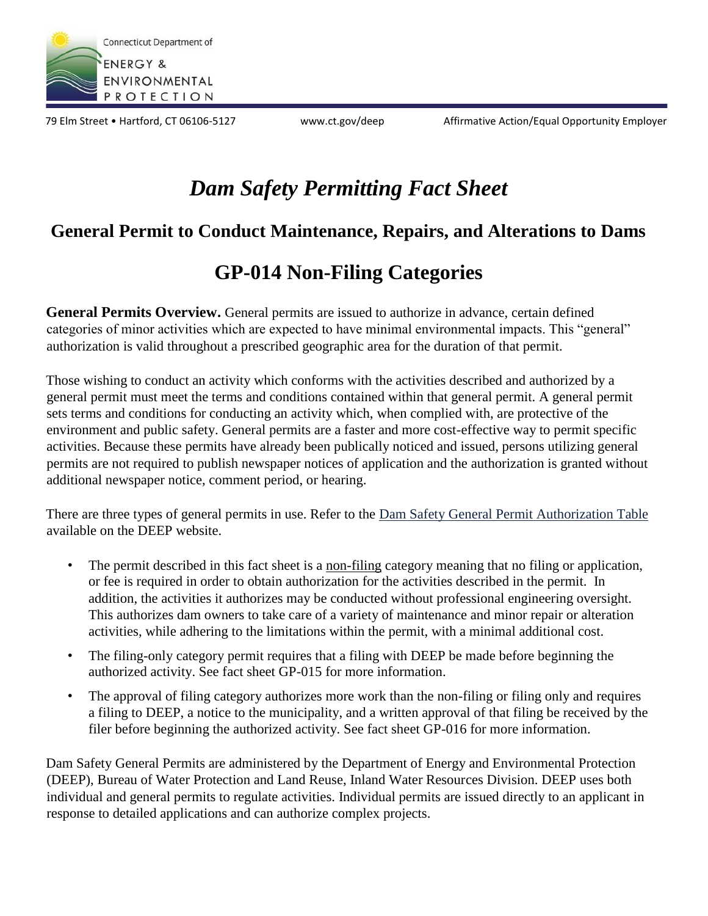

79 Elm Street • Hartford, CT 06106-5127 www.ct.gov/deep Affirmative Action/Equal Opportunity Employer

# *Dam Safety Permitting Fact Sheet*

### **General Permit to Conduct Maintenance, Repairs, and Alterations to Dams**

## **GP-014 Non-Filing Categories**

General Permits Overview. General permits are issued to authorize in advance, certain defined categories of minor activities which are expected to have minimal environmental impacts. This "general" authorization is valid throughout a prescribed geographic area for the duration of that permit.

Those wishing to conduct an activity which conforms with the activities described and authorized by a general permit must meet the terms and conditions contained within that general permit. A general permit sets terms and conditions for conducting an activity which, when complied with, are protective of the environment and public safety. General permits are a faster and more cost-effective way to permit specific activities. Because these permits have already been publically noticed and issued, persons utilizing general permits are not required to publish newspaper notices of application and the authorization is granted without additional newspaper notice, comment period, or hearing.

There are three types of general permits in use. Refer to the Dam Safety General Permit Authorization Table available on the DEEP website.

- The permit described in this fact sheet is a non-filing category meaning that no filing or application, or fee is required in order to obtain authorization for the activities described in the permit. In addition, the activities it authorizes may be conducted without professional engineering oversight. This authorizes dam owners to take care of a variety of maintenance and minor repair or alteration activities, while adhering to the limitations within the permit, with a minimal additional cost.
- The filing-only category permit requires that a filing with DEEP be made before beginning the authorized activity. See fact sheet GP-015 for more information.
- The approval of filing category authorizes more work than the non-filing or filing only and requires a filing to DEEP, a notice to the municipality, and a written approval of that filing be received by the filer before beginning the authorized activity. See fact sheet GP-016 for more information.

Dam Safety General Permits are administered by the Department of Energy and Environmental Protection (DEEP), Bureau of Water Protection and Land Reuse, Inland Water Resources Division. DEEP uses both individual and general permits to regulate activities. Individual permits are issued directly to an applicant in response to detailed applications and can authorize complex projects.